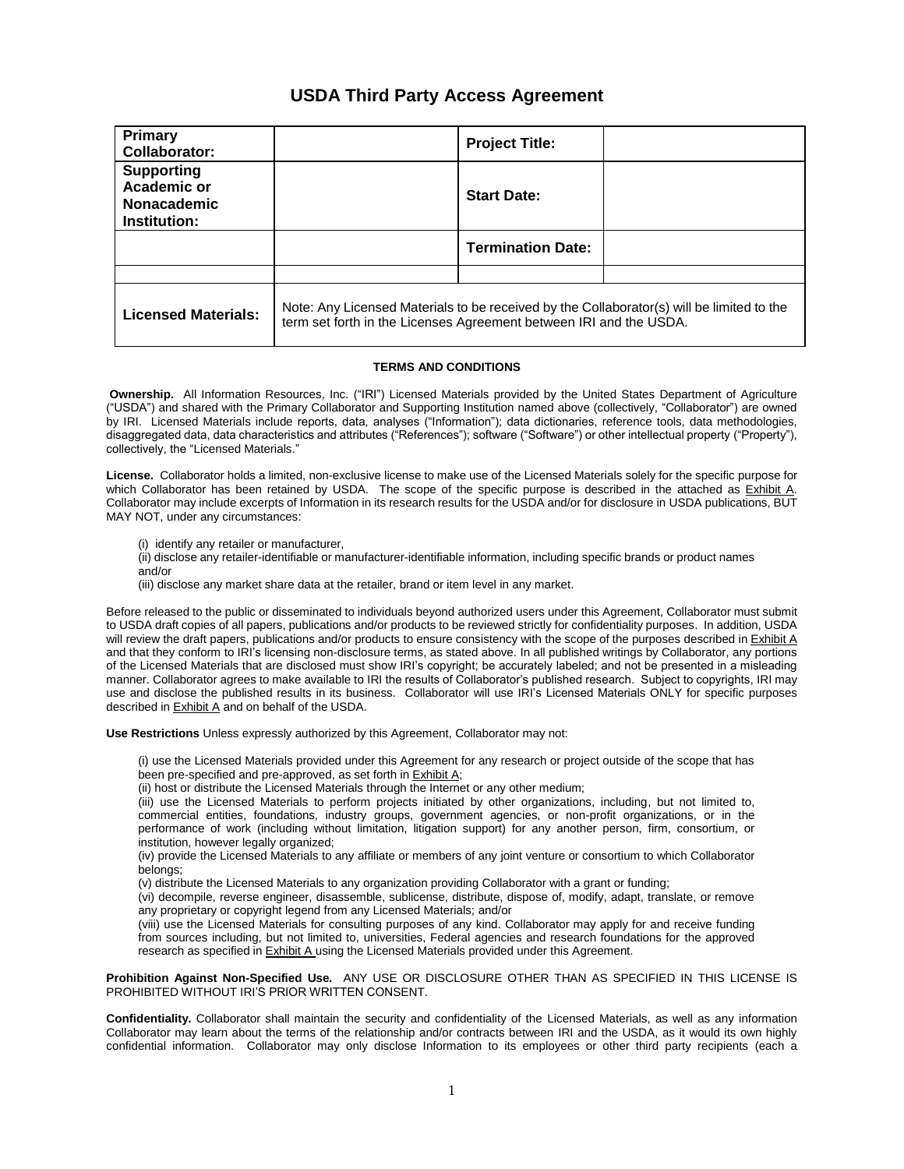# **USDA Third Party Access Agreement**

| Primary<br>Collaborator:                                               |                                                                                                                                                                 | <b>Project Title:</b>    |  |
|------------------------------------------------------------------------|-----------------------------------------------------------------------------------------------------------------------------------------------------------------|--------------------------|--|
| <b>Supporting</b><br>Academic or<br><b>Nonacademic</b><br>Institution: |                                                                                                                                                                 | <b>Start Date:</b>       |  |
|                                                                        |                                                                                                                                                                 | <b>Termination Date:</b> |  |
|                                                                        |                                                                                                                                                                 |                          |  |
| <b>Licensed Materials:</b>                                             | Note: Any Licensed Materials to be received by the Collaborator(s) will be limited to the<br>term set forth in the Licenses Agreement between IRI and the USDA. |                          |  |

#### **TERMS AND CONDITIONS**

**Ownership.** All Information Resources, Inc. ("IRI") Licensed Materials provided by the United States Department of Agriculture ("USDA") and shared with the Primary Collaborator and Supporting Institution named above (collectively, "Collaborator") are owned by IRI. Licensed Materials include reports, data, analyses ("Information"); data dictionaries, reference tools, data methodologies, disaggregated data, data characteristics and attributes ("References"); software ("Software") or other intellectual property ("Property"), collectively, the "Licensed Materials."

**License.** Collaborator holds a limited, non-exclusive license to make use of the Licensed Materials solely for the specific purpose for which Collaborator has been retained by USDA. The scope of the specific purpose is described in the attached as Exhibit A. Collaborator may include excerpts of Information in its research results for the USDA and/or for disclosure in USDA publications, BUT MAY NOT, under any circumstances:

(i) identify any retailer or manufacturer,

- (ii) disclose any retailer-identifiable or manufacturer-identifiable information, including specific brands or product names and/or
- (iii) disclose any market share data at the retailer, brand or item level in any market.

Before released to the public or disseminated to individuals beyond authorized users under this Agreement, Collaborator must submit to USDA draft copies of all papers, publications and/or products to be reviewed strictly for confidentiality purposes. In addition, USDA will review the draft papers, publications and/or products to ensure consistency with the scope of the purposes described in Exhibit A and that they conform to IRI's licensing non-disclosure terms, as stated above. In all published writings by Collaborator, any portions of the Licensed Materials that are disclosed must show IRI's copyright; be accurately labeled; and not be presented in a misleading manner. Collaborator agrees to make available to IRI the results of Collaborator's published research. Subject to copyrights, IRI may use and disclose the published results in its business. Collaborator will use IRI's Licensed Materials ONLY for specific purposes described in Exhibit A and on behalf of the USDA.

**Use Restrictions** Unless expressly authorized by this Agreement, Collaborator may not:

(i) use the Licensed Materials provided under this Agreement for any research or project outside of the scope that has been pre-specified and pre-approved, as set forth in **Exhibit A**;

(ii) host or distribute the Licensed Materials through the Internet or any other medium;

(iii) use the Licensed Materials to perform projects initiated by other organizations, including, but not limited to, commercial entities, foundations, industry groups, government agencies, or non-profit organizations, or in the performance of work (including without limitation, litigation support) for any another person, firm, consortium, or institution, however legally organized;

(iv) provide the Licensed Materials to any affiliate or members of any joint venture or consortium to which Collaborator belongs;

(v) distribute the Licensed Materials to any organization providing Collaborator with a grant or funding;

(vi) decompile, reverse engineer, disassemble, sublicense, distribute, dispose of, modify, adapt, translate, or remove any proprietary or copyright legend from any Licensed Materials; and/or

(viii) use the Licensed Materials for consulting purposes of any kind. Collaborator may apply for and receive funding from sources including, but not limited to, universities, Federal agencies and research foundations for the approved research as specified in Exhibit A using the Licensed Materials provided under this Agreement.

**Prohibition Against Non-Specified Use.** ANY USE OR DISCLOSURE OTHER THAN AS SPECIFIED IN THIS LICENSE IS PROHIBITED WITHOUT IRI'S PRIOR WRITTEN CONSENT.

**Confidentiality.** Collaborator shall maintain the security and confidentiality of the Licensed Materials, as well as any information Collaborator may learn about the terms of the relationship and/or contracts between IRI and the USDA, as it would its own highly confidential information. Collaborator may only disclose Information to its employees or other third party recipients (each a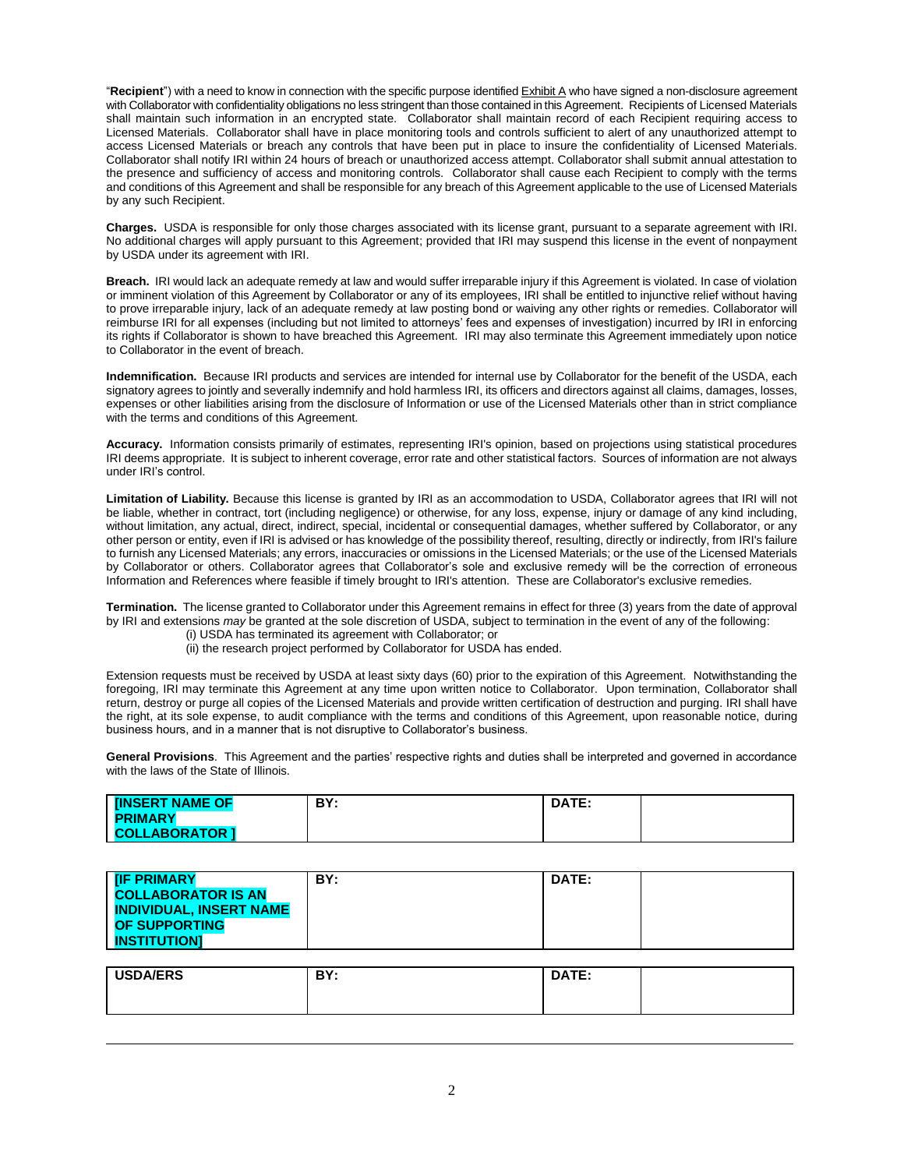"**Recipient**") with a need to know in connection with the specific purpose identified Exhibit A who have signed a non-disclosure agreement with Collaborator with confidentiality obligations no less stringent than those contained in this Agreement. Recipients of Licensed Materials shall maintain such information in an encrypted state. Collaborator shall maintain record of each Recipient requiring access to Licensed Materials. Collaborator shall have in place monitoring tools and controls sufficient to alert of any unauthorized attempt to access Licensed Materials or breach any controls that have been put in place to insure the confidentiality of Licensed Materials. Collaborator shall notify IRI within 24 hours of breach or unauthorized access attempt. Collaborator shall submit annual attestation to the presence and sufficiency of access and monitoring controls. Collaborator shall cause each Recipient to comply with the terms and conditions of this Agreement and shall be responsible for any breach of this Agreement applicable to the use of Licensed Materials by any such Recipient.

**Charges.** USDA is responsible for only those charges associated with its license grant, pursuant to a separate agreement with IRI. No additional charges will apply pursuant to this Agreement; provided that IRI may suspend this license in the event of nonpayment by USDA under its agreement with IRI.

**Breach.**IRI would lack an adequate remedy at law and would suffer irreparable injury if this Agreement is violated. In case of violation or imminent violation of this Agreement by Collaborator or any of its employees, IRI shall be entitled to injunctive relief without having to prove irreparable injury, lack of an adequate remedy at law posting bond or waiving any other rights or remedies. Collaborator will reimburse IRI for all expenses (including but not limited to attorneys' fees and expenses of investigation) incurred by IRI in enforcing its rights if Collaborator is shown to have breached this Agreement. IRI may also terminate this Agreement immediately upon notice to Collaborator in the event of breach.

**Indemnification.** Because IRI products and services are intended for internal use by Collaborator for the benefit of the USDA, each signatory agrees to jointly and severally indemnify and hold harmless IRI, its officers and directors against all claims, damages, losses, expenses or other liabilities arising from the disclosure of Information or use of the Licensed Materials other than in strict compliance with the terms and conditions of this Agreement.

**Accuracy.** Information consists primarily of estimates, representing IRI's opinion, based on projections using statistical procedures IRI deems appropriate. It is subject to inherent coverage, error rate and other statistical factors. Sources of information are not always under IRI's control.

**Limitation of Liability.** Because this license is granted by IRI as an accommodation to USDA, Collaborator agrees that IRI will not be liable, whether in contract, tort (including negligence) or otherwise, for any loss, expense, injury or damage of any kind including, without limitation, any actual, direct, indirect, special, incidental or consequential damages, whether suffered by Collaborator, or any other person or entity, even if IRI is advised or has knowledge of the possibility thereof, resulting, directly or indirectly, from IRI's failure to furnish any Licensed Materials; any errors, inaccuracies or omissions in the Licensed Materials; or the use of the Licensed Materials by Collaborator or others. Collaborator agrees that Collaborator's sole and exclusive remedy will be the correction of erroneous Information and References where feasible if timely brought to IRI's attention. These are Collaborator's exclusive remedies.

**Termination.** The license granted to Collaborator under this Agreement remains in effect for three (3) years from the date of approval by IRI and extensions *may* be granted at the sole discretion of USDA, subject to termination in the event of any of the following:

- (i) USDA has terminated its agreement with Collaborator; or
- (ii) the research project performed by Collaborator for USDA has ended.

Extension requests must be received by USDA at least sixty days (60) prior to the expiration of this Agreement. Notwithstanding the foregoing, IRI may terminate this Agreement at any time upon written notice to Collaborator. Upon termination, Collaborator shall return, destroy or purge all copies of the Licensed Materials and provide written certification of destruction and purging. IRI shall have the right, at its sole expense, to audit compliance with the terms and conditions of this Agreement, upon reasonable notice, during business hours, and in a manner that is not disruptive to Collaborator's business.

**General Provisions**. This Agreement and the parties' respective rights and duties shall be interpreted and governed in accordance with the laws of the State of Illinois.

| <b>INSERT NAME OF</b> | DV.<br>DI. | DATF .<br>. |  |
|-----------------------|------------|-------------|--|
| <b>PRIMARY</b>        |            |             |  |
| <b>COLLABORATOR 1</b> |            |             |  |

| <b>TIF PRIMARY</b><br><b>COLLABORATOR IS AN</b><br><b>INDIVIDUAL, INSERT NAME</b><br><b>OF SUPPORTING</b> | BY: | <b>DATE:</b> |  |
|-----------------------------------------------------------------------------------------------------------|-----|--------------|--|
| <b>INSTITUTIONI</b>                                                                                       |     |              |  |

| <b>USDA/ERS</b> | DV.<br>. .<br>$ -$ | DATE:<br>----- |  |
|-----------------|--------------------|----------------|--|
|                 |                    |                |  |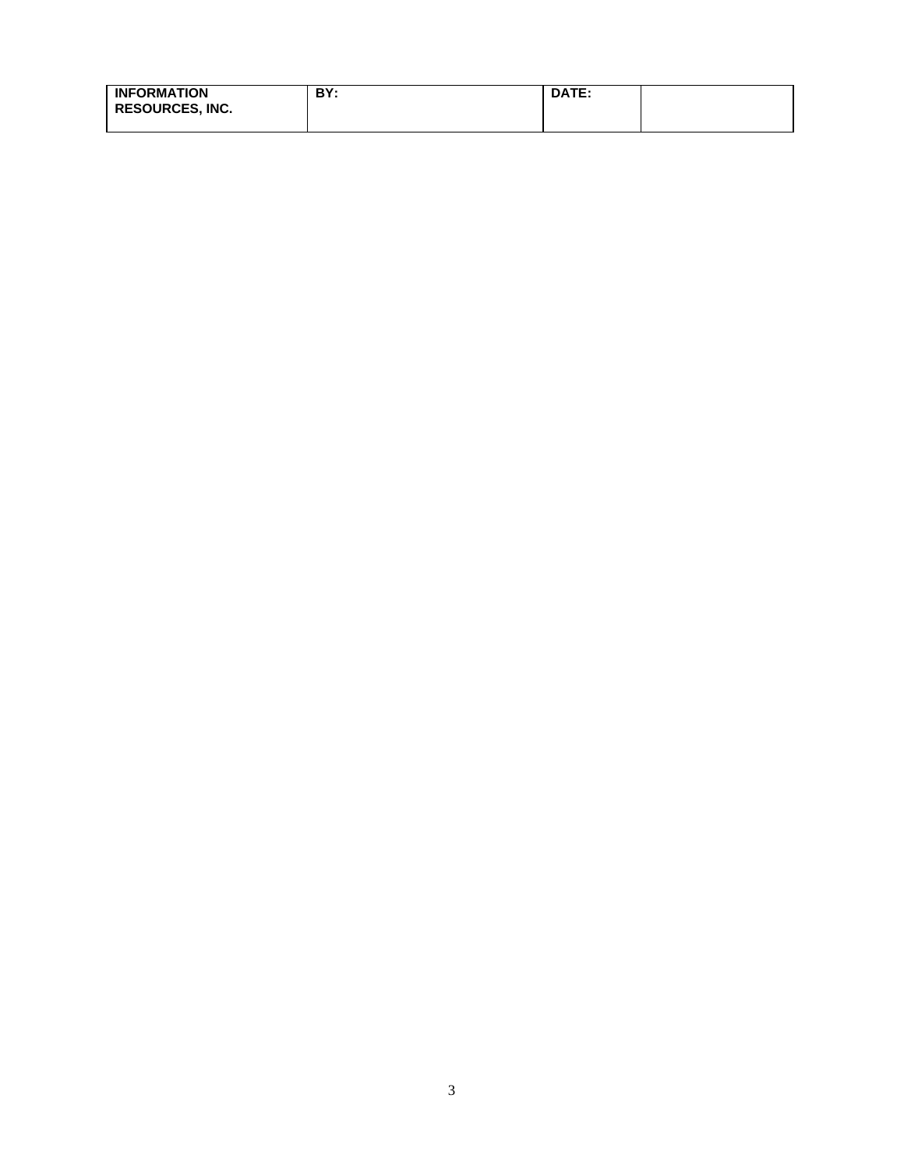| <b>INFORMATION</b><br><b>RESOURCES, INC.</b> | BY: | <b>DATE:</b> |  |
|----------------------------------------------|-----|--------------|--|
|                                              |     |              |  |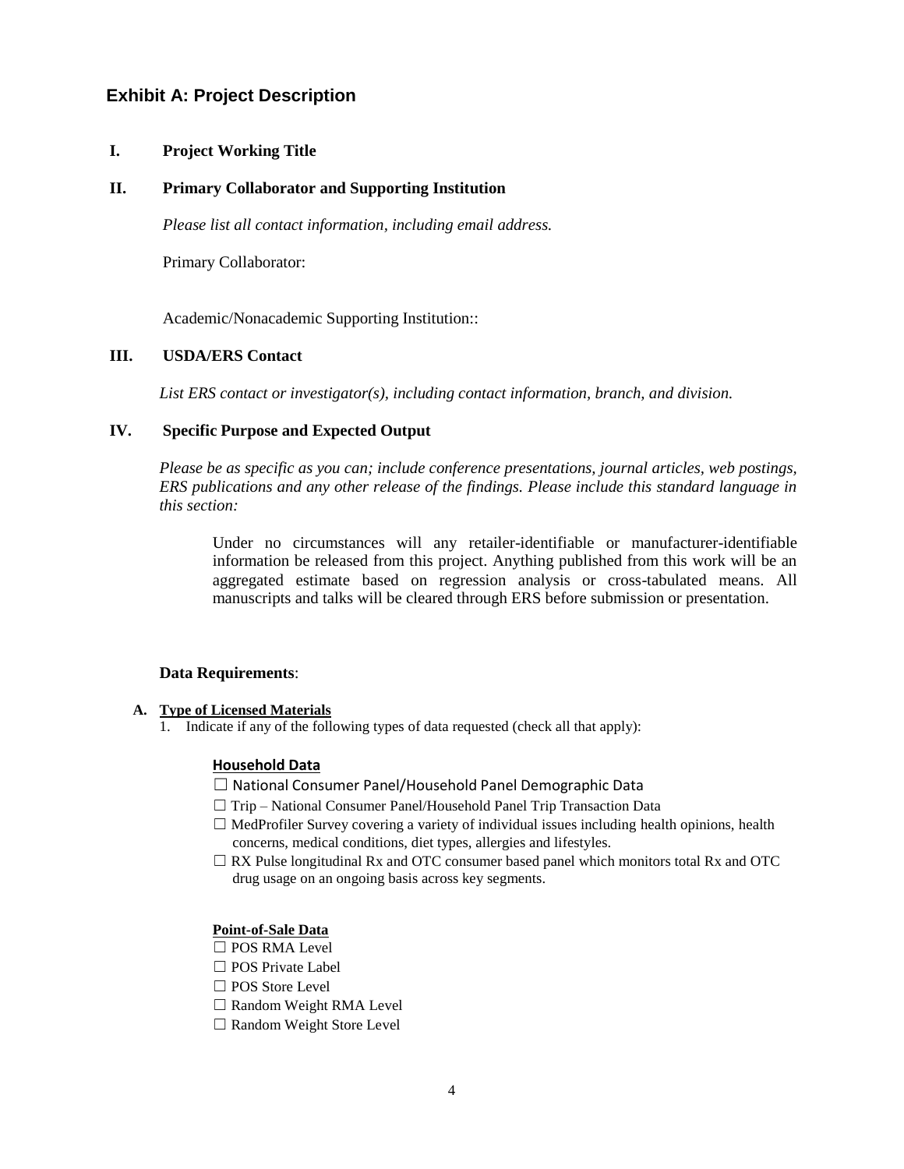# **Exhibit A: Project Description**

### **I. Project Working Title**

### **II. Primary Collaborator and Supporting Institution**

*Please list all contact information, including email address.*

Primary Collaborator:

Academic/Nonacademic Supporting Institution::

### **III. USDA/ERS Contact**

*List ERS contact or investigator(s), including contact information, branch, and division.*

### **IV. Specific Purpose and Expected Output**

*Please be as specific as you can; include conference presentations, journal articles, web postings, ERS publications and any other release of the findings. Please include this standard language in this section:*

Under no circumstances will any retailer-identifiable or manufacturer-identifiable information be released from this project. Anything published from this work will be an aggregated estimate based on regression analysis or cross-tabulated means. All manuscripts and talks will be cleared through ERS before submission or presentation.

### **Data Requirements**:

## **A. Type of Licensed Materials**

1. Indicate if any of the following types of data requested (check all that apply):

#### **Household Data**

- ☐ National Consumer Panel/Household Panel Demographic Data
- ☐ Trip National Consumer Panel/Household Panel Trip Transaction Data
- $\Box$  MedProfiler Survey covering a variety of individual issues including health opinions, health concerns, medical conditions, diet types, allergies and lifestyles.
- $\Box$  RX Pulse longitudinal Rx and OTC consumer based panel which monitors total Rx and OTC drug usage on an ongoing basis across key segments.

#### **Point-of-Sale Data**

- □ POS RMA Level
- □ POS Private Label
- □ POS Store Level
- □ Random Weight RMA Level
- □ Random Weight Store Level